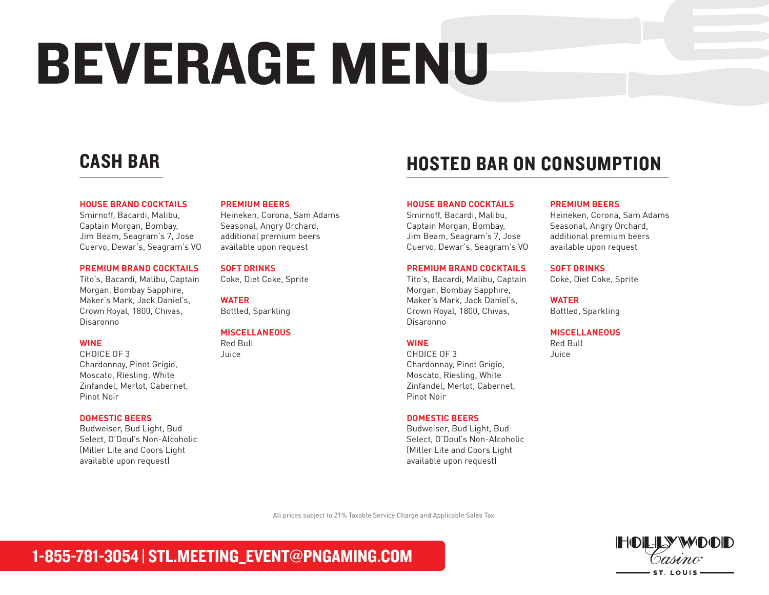# BEVERAGE MENU

#### **HOUSE BRAND COCKTAILS**

Smirnoff, Bacardi, Malibu, Captain Morgan, Bombay, Jim Beam, Seagram's 7, Jose Cuervo, Dewar's, Seagram's VO

#### **PREMIUM BRAND COCKTAILS**

Tito's, Bacardi, Malibu, Captain Morgan, Bombay Sapphire, Maker's Mark, Jack Daniel's, Crown Royal, 1800, Chivas, Disaronno

#### **WINE**

CHOICE OF 3 Chardonnay, Pinot Grigio, Moscato, Riesling, White Zinfandel, Merlot, Cabernet, Pinot Noir

#### **DOMESTIC BEERS**

Budweiser, Bud Light, Bud Select, O'Doul's Non-Alcoholic (Miller Lite and Coors Light available upon request)

#### **PREMIUM BEERS**

Heineken, Corona, Sam Adams Seasonal, Angry Orchard, additional premium beers available upon request

#### **SOFT DRINKS**

Coke, Diet Coke, Sprite

**WATER** Bottled, Sparkling

#### **MISCELLANEOUS** Red Bull

Juice

## CASH BAR **EXAMPLE AND STEP BAR ON CONSUMPTION**

#### **HOUSE BRAND COCKTAILS**

Smirnoff, Bacardi, Malibu, Captain Morgan, Bombay, Jim Beam, Seagram's 7, Jose Cuervo, Dewar's, Seagram's VO

#### **PREMIUM BRAND COCKTAILS**

Tito's, Bacardi, Malibu, Captain Morgan, Bombay Sapphire, Maker's Mark, Jack Daniel's, Crown Royal, 1800, Chivas, Disaronno

#### **WINE**

CHOICE OF 3 Chardonnay, Pinot Grigio, Moscato, Riesling, White Zinfandel, Merlot, Cabernet, Pinot Noir

#### **DOMESTIC BEERS**

Budweiser, Bud Light, Bud Select, O'Doul's Non-Alcoholic (Miller Lite and Coors Light available upon request)

#### **PREMIUM BEERS**

Heineken, Corona, Sam Adams Seasonal, Angry Orchard, additional premium beers available upon request

#### **SOFT DRINKS**

Coke, Diet Coke, Sprite

**WATER** Bottled, Sparkling

#### **MISCELLANEOUS**

Red Bull Juice

All prices subject to 21% Taxable Service Charge and Applicable Sales Tax.